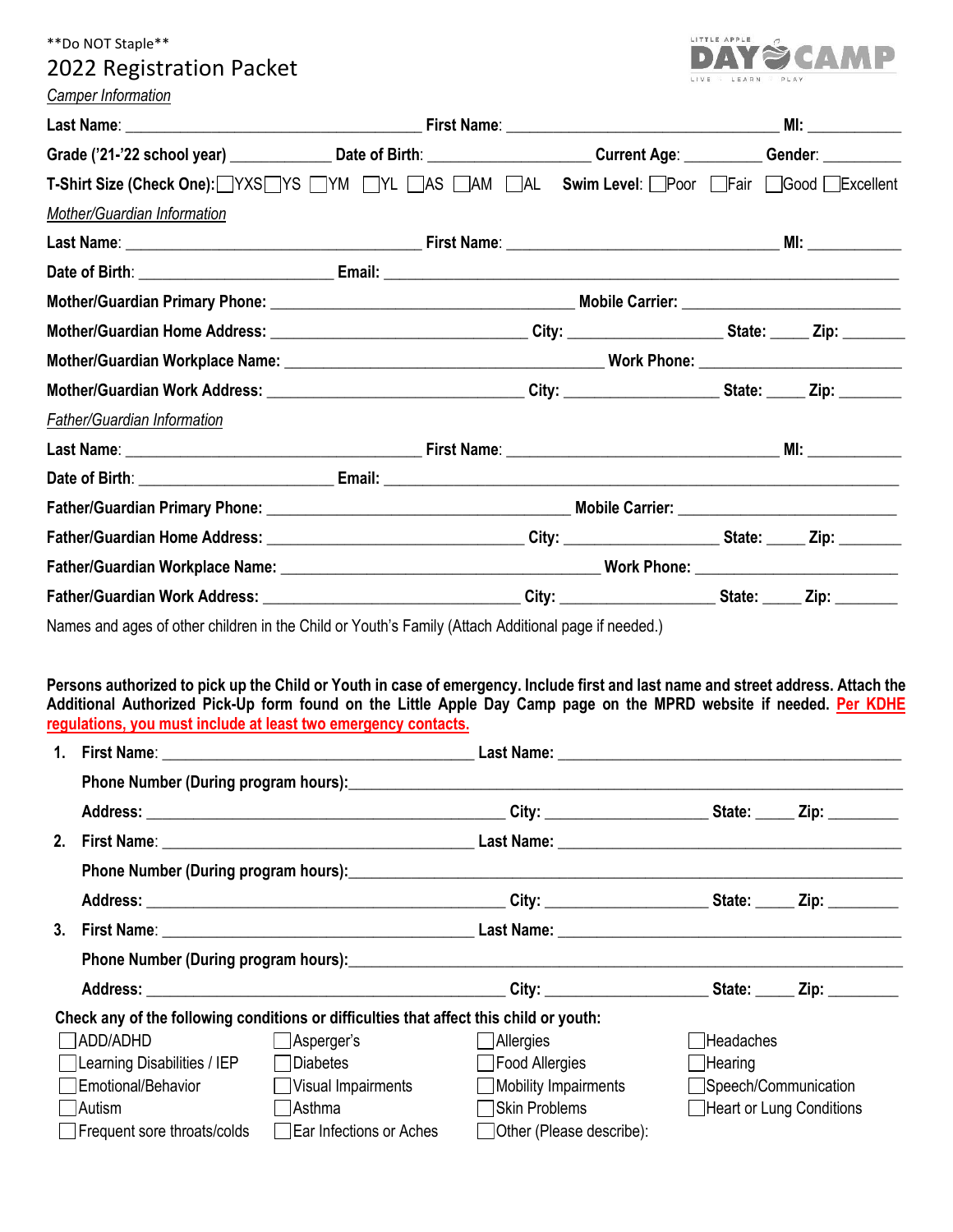# \*\*Do NOT Staple\*\*

# 2022 Registration Packet



|                                                                                                                                                                                                                                                                                                                           |                                                                                                                                                          |                                                                      |                          |                             | MI: ______________                               |
|---------------------------------------------------------------------------------------------------------------------------------------------------------------------------------------------------------------------------------------------------------------------------------------------------------------------------|----------------------------------------------------------------------------------------------------------------------------------------------------------|----------------------------------------------------------------------|--------------------------|-----------------------------|--------------------------------------------------|
|                                                                                                                                                                                                                                                                                                                           | Grade ('21-'22 school year) _________________Date of Birth: ____________________________Current Age: ____________Gender: ____________                    |                                                                      |                          |                             |                                                  |
| T-Shirt Size (Check One): YXS YS YM TYL AS AM AL Swim Level: Poor Fair Good Excellent                                                                                                                                                                                                                                     |                                                                                                                                                          |                                                                      |                          |                             |                                                  |
| Mother/Guardian Information                                                                                                                                                                                                                                                                                               |                                                                                                                                                          |                                                                      |                          |                             |                                                  |
|                                                                                                                                                                                                                                                                                                                           |                                                                                                                                                          |                                                                      |                          |                             |                                                  |
|                                                                                                                                                                                                                                                                                                                           |                                                                                                                                                          |                                                                      |                          |                             |                                                  |
|                                                                                                                                                                                                                                                                                                                           |                                                                                                                                                          |                                                                      |                          |                             |                                                  |
|                                                                                                                                                                                                                                                                                                                           |                                                                                                                                                          |                                                                      |                          |                             |                                                  |
|                                                                                                                                                                                                                                                                                                                           |                                                                                                                                                          |                                                                      |                          |                             |                                                  |
|                                                                                                                                                                                                                                                                                                                           |                                                                                                                                                          |                                                                      |                          |                             |                                                  |
| <b>Father/Guardian Information</b>                                                                                                                                                                                                                                                                                        |                                                                                                                                                          |                                                                      |                          |                             |                                                  |
|                                                                                                                                                                                                                                                                                                                           |                                                                                                                                                          |                                                                      |                          |                             |                                                  |
|                                                                                                                                                                                                                                                                                                                           |                                                                                                                                                          |                                                                      |                          |                             |                                                  |
|                                                                                                                                                                                                                                                                                                                           |                                                                                                                                                          |                                                                      |                          |                             |                                                  |
|                                                                                                                                                                                                                                                                                                                           |                                                                                                                                                          |                                                                      |                          |                             |                                                  |
|                                                                                                                                                                                                                                                                                                                           |                                                                                                                                                          |                                                                      |                          |                             |                                                  |
|                                                                                                                                                                                                                                                                                                                           |                                                                                                                                                          |                                                                      |                          |                             |                                                  |
| Persons authorized to pick up the Child or Youth in case of emergency. Include first and last name and street address. Attach the<br>Additional Authorized Pick-Up form found on the Little Apple Day Camp page on the MPRD website if needed. Per KDHE<br>regulations, you must include at least two emergency contacts. |                                                                                                                                                          |                                                                      |                          |                             |                                                  |
|                                                                                                                                                                                                                                                                                                                           |                                                                                                                                                          |                                                                      |                          |                             |                                                  |
|                                                                                                                                                                                                                                                                                                                           |                                                                                                                                                          |                                                                      |                          |                             |                                                  |
|                                                                                                                                                                                                                                                                                                                           |                                                                                                                                                          |                                                                      |                          |                             |                                                  |
|                                                                                                                                                                                                                                                                                                                           |                                                                                                                                                          |                                                                      |                          |                             |                                                  |
|                                                                                                                                                                                                                                                                                                                           |                                                                                                                                                          |                                                                      |                          |                             |                                                  |
|                                                                                                                                                                                                                                                                                                                           |                                                                                                                                                          |                                                                      |                          |                             |                                                  |
|                                                                                                                                                                                                                                                                                                                           |                                                                                                                                                          |                                                                      |                          |                             |                                                  |
|                                                                                                                                                                                                                                                                                                                           |                                                                                                                                                          |                                                                      |                          |                             |                                                  |
|                                                                                                                                                                                                                                                                                                                           |                                                                                                                                                          |                                                                      |                          |                             |                                                  |
| ADD/ADHD<br>Learning Disabilities / IEP<br>Emotional/Behavior<br>Autism                                                                                                                                                                                                                                                   | Check any of the following conditions or difficulties that affect this child or youth:<br>Asperger's<br>□Diabetes<br>Visual Impairments<br>$\Box$ Asthma | Allergies<br>Food Allergies<br>Mobility Impairments<br>Skin Problems |                          | Headaches<br>$\Box$ Hearing | Speech/Communication<br>Heart or Lung Conditions |
| Frequent sore throats/colds                                                                                                                                                                                                                                                                                               | Ear Infections or Aches                                                                                                                                  |                                                                      | Other (Please describe): |                             |                                                  |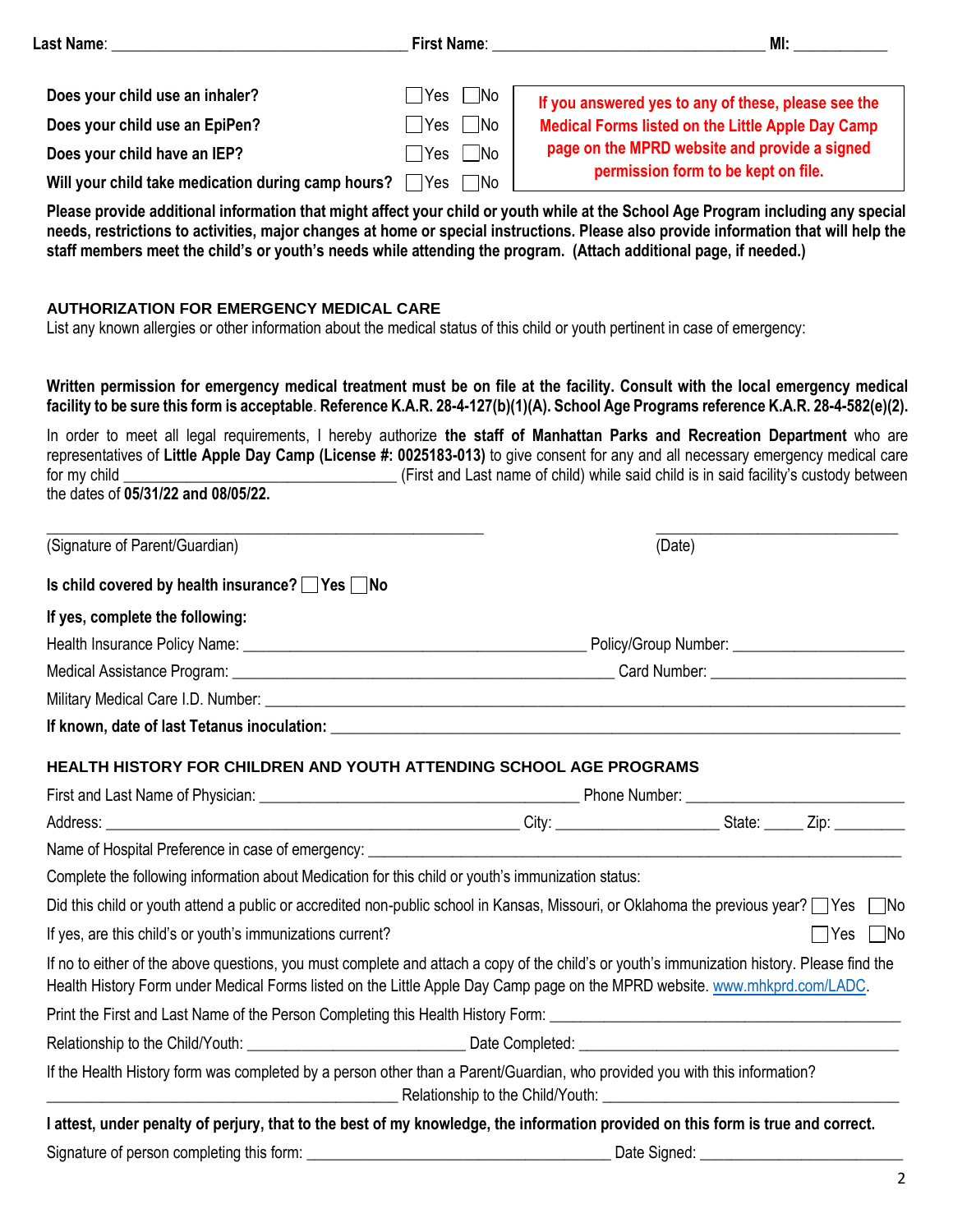|                                                               |                                                                                                                | MI: and the state of the state of the state of the state of the state of the state of the state of the state of the state of the state of the state of the state of the state of the state of the state of the state of the st                                                                                                                                                                 |
|---------------------------------------------------------------|----------------------------------------------------------------------------------------------------------------|------------------------------------------------------------------------------------------------------------------------------------------------------------------------------------------------------------------------------------------------------------------------------------------------------------------------------------------------------------------------------------------------|
| Does your child use an inhaler?                               | $\Box$ No<br>∣ ∣Yes                                                                                            | If you answered yes to any of these, please see the                                                                                                                                                                                                                                                                                                                                            |
| Does your child use an EpiPen?                                | <b>No</b><br>∣ ∣Yes                                                                                            | <b>Medical Forms listed on the Little Apple Day Camp</b>                                                                                                                                                                                                                                                                                                                                       |
| Does your child have an IEP?                                  | $\Box$ No<br>$\Box$ Yes                                                                                        | page on the MPRD website and provide a signed                                                                                                                                                                                                                                                                                                                                                  |
| Will your child take medication during camp hours? $\Box$ Yes | $\neg$ No                                                                                                      | permission form to be kept on file.                                                                                                                                                                                                                                                                                                                                                            |
|                                                               |                                                                                                                | Please provide additional information that might affect your child or youth while at the School Age Program including any special<br>needs, restrictions to activities, major changes at home or special instructions. Please also provide information that will help the<br>staff members meet the child's or youth's needs while attending the program. (Attach additional page, if needed.) |
| <b>AUTHORIZATION FOR EMERGENCY MEDICAL CARE</b>               |                                                                                                                | List any known allergies or other information about the medical status of this child or youth pertinent in case of emergency:                                                                                                                                                                                                                                                                  |
|                                                               |                                                                                                                | Written permission for emergency medical treatment must be on file at the facility. Consult with the local emergency medical<br>facility to be sure this form is acceptable. Reference K.A.R. 28-4-127(b)(1)(A). School Age Programs reference K.A.R. 28-4-582(e)(2).                                                                                                                          |
| the dates of 05/31/22 and 08/05/22.                           |                                                                                                                | In order to meet all legal requirements, I hereby authorize the staff of Manhattan Parks and Recreation Department who are<br>representatives of Little Apple Day Camp (License #: 0025183-013) to give consent for any and all necessary emergency medical care                                                                                                                               |
| (Signature of Parent/Guardian)                                |                                                                                                                | (Date)                                                                                                                                                                                                                                                                                                                                                                                         |
| Is child covered by health insurance? $\Box$ Yes $\Box$ No    |                                                                                                                |                                                                                                                                                                                                                                                                                                                                                                                                |
| If yes, complete the following:                               |                                                                                                                |                                                                                                                                                                                                                                                                                                                                                                                                |
|                                                               | Health Insurance Policy Name: Name: Name and Allen Allen Allen Allen Allen Allen Allen Allen Allen Allen Allen |                                                                                                                                                                                                                                                                                                                                                                                                |
|                                                               |                                                                                                                |                                                                                                                                                                                                                                                                                                                                                                                                |
|                                                               |                                                                                                                |                                                                                                                                                                                                                                                                                                                                                                                                |
|                                                               |                                                                                                                |                                                                                                                                                                                                                                                                                                                                                                                                |
|                                                               | HEALTH HISTORY FOR CHILDREN AND YOUTH ATTENDING SCHOOL AGE PROGRAMS                                            |                                                                                                                                                                                                                                                                                                                                                                                                |
|                                                               |                                                                                                                |                                                                                                                                                                                                                                                                                                                                                                                                |
|                                                               |                                                                                                                |                                                                                                                                                                                                                                                                                                                                                                                                |
|                                                               |                                                                                                                | Name of Hospital Preference in case of emergency: Name of the Contract of the Contract of Hospital Preference in case of emergency:                                                                                                                                                                                                                                                            |
|                                                               | Complete the following information about Medication for this child or youth's immunization status:             |                                                                                                                                                                                                                                                                                                                                                                                                |
|                                                               |                                                                                                                | Did this child or youth attend a public or accredited non-public school in Kansas, Missouri, or Oklahoma the previous year? Yes No                                                                                                                                                                                                                                                             |
| If yes, are this child's or youth's immunizations current?    |                                                                                                                | Yes   No                                                                                                                                                                                                                                                                                                                                                                                       |
|                                                               |                                                                                                                | If no to either of the above questions, you must complete and attach a copy of the child's or youth's immunization history. Please find the<br>Health History Form under Medical Forms listed on the Little Apple Day Camp page on the MPRD website. www.mhkprd.com/LADC.                                                                                                                      |
|                                                               |                                                                                                                |                                                                                                                                                                                                                                                                                                                                                                                                |
|                                                               |                                                                                                                |                                                                                                                                                                                                                                                                                                                                                                                                |
|                                                               |                                                                                                                | If the Health History form was completed by a person other than a Parent/Guardian, who provided you with this information?                                                                                                                                                                                                                                                                     |

**I attest, under penalty of perjury, that to the best of my knowledge, the information provided on this form is true and correct.** Signature of person completing this form: \_\_\_\_\_\_\_\_\_\_\_\_\_\_\_\_\_\_\_\_\_\_\_\_\_\_\_\_\_\_\_\_\_\_\_\_\_\_\_ Date Signed: \_\_\_\_\_\_\_\_\_\_\_\_\_\_\_\_\_\_\_\_\_\_\_\_\_\_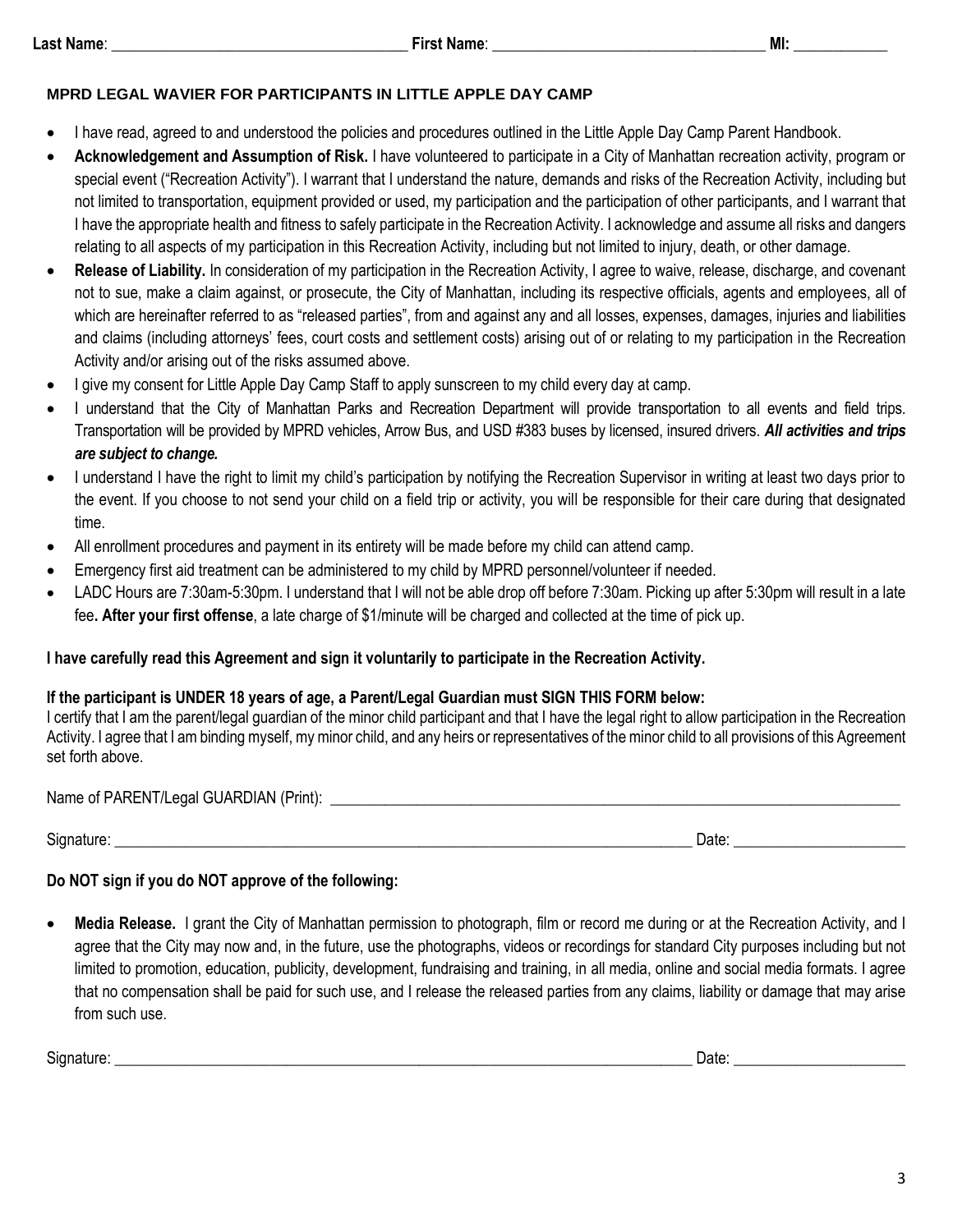#### **MPRD LEGAL WAVIER FOR PARTICIPANTS IN LITTLE APPLE DAY CAMP**

- I have read, agreed to and understood the policies and procedures outlined in the Little Apple Day Camp Parent Handbook.
- **Acknowledgement and Assumption of Risk.** I have volunteered to participate in a City of Manhattan recreation activity, program or special event ("Recreation Activity"). I warrant that I understand the nature, demands and risks of the Recreation Activity, including but not limited to transportation, equipment provided or used, my participation and the participation of other participants, and I warrant that I have the appropriate health and fitness to safely participate in the Recreation Activity. I acknowledge and assume all risks and dangers relating to all aspects of my participation in this Recreation Activity, including but not limited to injury, death, or other damage.
- **Release of Liability.** In consideration of my participation in the Recreation Activity, I agree to waive, release, discharge, and covenant not to sue, make a claim against, or prosecute, the City of Manhattan, including its respective officials, agents and employees, all of which are hereinafter referred to as "released parties", from and against any and all losses, expenses, damages, injuries and liabilities and claims (including attorneys' fees, court costs and settlement costs) arising out of or relating to my participation in the Recreation Activity and/or arising out of the risks assumed above.
- I give my consent for Little Apple Day Camp Staff to apply sunscreen to my child every day at camp.
- I understand that the City of Manhattan Parks and Recreation Department will provide transportation to all events and field trips. Transportation will be provided by MPRD vehicles, Arrow Bus, and USD #383 buses by licensed, insured drivers. *All activities and trips are subject to change.*
- I understand I have the right to limit my child's participation by notifying the Recreation Supervisor in writing at least two days prior to the event. If you choose to not send your child on a field trip or activity, you will be responsible for their care during that designated time.
- All enrollment procedures and payment in its entirety will be made before my child can attend camp.
- Emergency first aid treatment can be administered to my child by MPRD personnel/volunteer if needed.
- LADC Hours are 7:30am-5:30pm. I understand that I will not be able drop off before 7:30am. Picking up after 5:30pm will result in a late fee**. After your first offense**, a late charge of \$1/minute will be charged and collected at the time of pick up.

# **I have carefully read this Agreement and sign it voluntarily to participate in the Recreation Activity.**

# **If the participant is UNDER 18 years of age, a Parent/Legal Guardian must SIGN THIS FORM below:**

I certify that I am the parent/legal guardian of the minor child participant and that I have the legal right to allow participation in the Recreation Activity. I agree that I am binding myself, my minor child, and any heirs or representatives of the minor child to all provisions of this Agreement set forth above.

Name of PARENT/Legal GUARDIAN (Print): \_\_\_\_\_\_\_\_\_\_\_\_\_\_\_\_\_\_\_\_\_\_\_\_\_\_\_\_\_\_\_\_\_\_\_\_\_\_\_\_\_\_\_\_\_\_\_\_\_\_\_\_\_\_\_\_\_\_\_\_\_\_\_\_\_\_\_\_\_\_\_\_\_

 $Signature:$   $\Box$ 

## **Do NOT sign if you do NOT approve of the following:**

• **Media Release.** I grant the City of Manhattan permission to photograph, film or record me during or at the Recreation Activity, and I agree that the City may now and, in the future, use the photographs, videos or recordings for standard City purposes including but not limited to promotion, education, publicity, development, fundraising and training, in all media, online and social media formats. I agree that no compensation shall be paid for such use, and I release the released parties from any claims, liability or damage that may arise from such use.

Signature: \_\_\_\_\_\_\_\_\_\_\_\_\_\_\_\_\_\_\_\_\_\_\_\_\_\_\_\_\_\_\_\_\_\_\_\_\_\_\_\_\_\_\_\_\_\_\_\_\_\_\_\_\_\_\_\_\_\_\_\_\_\_\_\_\_\_\_\_\_\_\_\_\_\_ Date: \_\_\_\_\_\_\_\_\_\_\_\_\_\_\_\_\_\_\_\_\_\_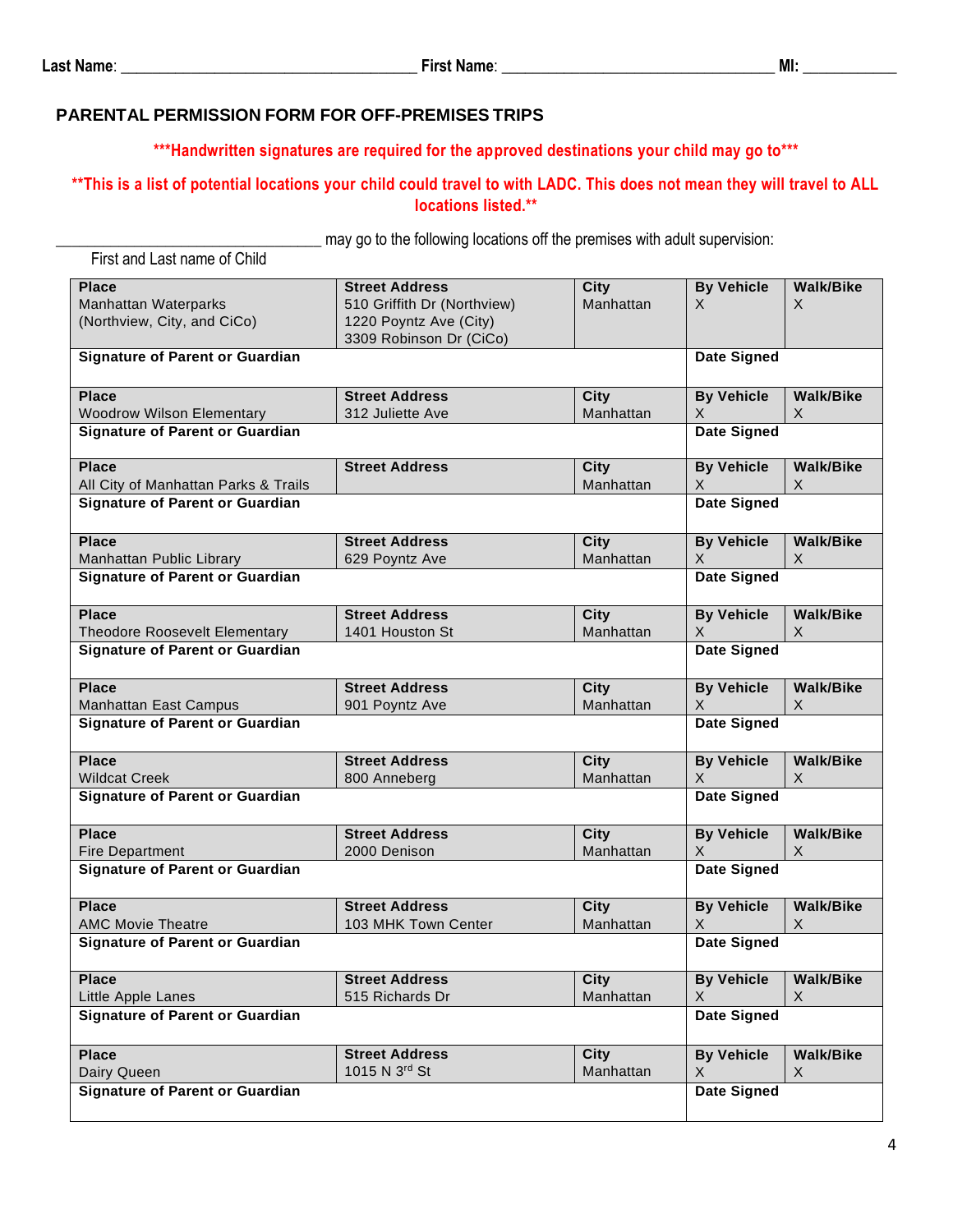#### **PARENTAL PERMISSION FORM FOR OFF-PREMISES TRIPS**

**\*\*\*Handwritten signatures are required for the approved destinations your child may go to\*\*\***

### **\*\*This is a list of potential locations your child could travel to with LADC. This does not mean they will travel to ALL locations listed.\*\***

\_\_\_\_\_\_\_\_\_\_\_\_\_\_\_\_\_\_\_\_\_\_\_\_\_\_\_\_\_\_\_\_\_\_ may go to the following locations off the premises with adult supervision:

| First and Last name of Child                                               |                                                                                                           |                          |                                   |                                  |
|----------------------------------------------------------------------------|-----------------------------------------------------------------------------------------------------------|--------------------------|-----------------------------------|----------------------------------|
| <b>Place</b><br><b>Manhattan Waterparks</b><br>(Northview, City, and CiCo) | <b>Street Address</b><br>510 Griffith Dr (Northview)<br>1220 Poyntz Ave (City)<br>3309 Robinson Dr (CiCo) | <b>City</b><br>Manhattan | <b>By Vehicle</b><br>X            | <b>Walk/Bike</b><br>X.           |
| <b>Signature of Parent or Guardian</b>                                     |                                                                                                           |                          | <b>Date Signed</b>                |                                  |
| <b>Place</b><br><b>Woodrow Wilson Elementary</b>                           | <b>Street Address</b><br>312 Juliette Ave                                                                 | <b>City</b><br>Manhattan | <b>By Vehicle</b><br>X.           | <b>Walk/Bike</b><br>X.           |
| <b>Signature of Parent or Guardian</b>                                     |                                                                                                           |                          | Date Signed                       |                                  |
| <b>Place</b><br>All City of Manhattan Parks & Trails                       | <b>Street Address</b>                                                                                     | <b>City</b><br>Manhattan | <b>By Vehicle</b><br>$\mathsf{X}$ | <b>Walk/Bike</b><br>$\mathsf{X}$ |
| <b>Signature of Parent or Guardian</b>                                     |                                                                                                           |                          | <b>Date Signed</b>                |                                  |
| <b>Place</b><br>Manhattan Public Library                                   | <b>Street Address</b><br>629 Poyntz Ave                                                                   | <b>City</b><br>Manhattan | <b>By Vehicle</b><br>$\mathsf{X}$ | <b>Walk/Bike</b><br>$\mathsf{X}$ |
| <b>Signature of Parent or Guardian</b>                                     |                                                                                                           |                          | <b>Date Signed</b>                |                                  |
| <b>Place</b><br>Theodore Roosevelt Elementary                              | <b>Street Address</b><br>1401 Houston St                                                                  | <b>City</b><br>Manhattan | <b>By Vehicle</b><br>$\mathsf{X}$ | <b>Walk/Bike</b><br>X            |
| <b>Signature of Parent or Guardian</b>                                     |                                                                                                           |                          | <b>Date Signed</b>                |                                  |
| <b>Place</b><br><b>Manhattan East Campus</b>                               | <b>Street Address</b><br>901 Poyntz Ave                                                                   | <b>City</b><br>Manhattan | <b>By Vehicle</b><br>X            | <b>Walk/Bike</b><br>X            |
| <b>Signature of Parent or Guardian</b>                                     |                                                                                                           |                          | <b>Date Signed</b>                |                                  |
| <b>Place</b><br><b>Wildcat Creek</b>                                       | <b>Street Address</b><br>800 Anneberg                                                                     | City<br>Manhattan        | <b>By Vehicle</b><br>X.           | <b>Walk/Bike</b><br>X.           |
| <b>Signature of Parent or Guardian</b>                                     |                                                                                                           |                          | <b>Date Signed</b>                |                                  |
| <b>Place</b><br><b>Fire Department</b>                                     | <b>Street Address</b><br>2000 Denison                                                                     | <b>City</b><br>Manhattan | <b>By Vehicle</b><br>X.           | <b>Walk/Bike</b><br>X            |
| <b>Signature of Parent or Guardian</b>                                     |                                                                                                           |                          | <b>Date Signed</b>                |                                  |
| <b>Place</b><br><b>AMC Movie Theatre</b>                                   | <b>Street Address</b><br>103 MHK Town Center                                                              | <b>City</b><br>Manhattan | <b>By Vehicle</b><br>X            | <b>Walk/Bike</b><br>X            |
| <b>Signature of Parent or Guardian</b>                                     |                                                                                                           |                          | <b>Date Signed</b>                |                                  |
| <b>Place</b><br>Little Apple Lanes                                         | <b>Street Address</b><br>515 Richards Dr                                                                  | <b>City</b><br>Manhattan | <b>By Vehicle</b><br>$\times$     | <b>Walk/Bike</b><br>X            |
| <b>Signature of Parent or Guardian</b>                                     |                                                                                                           |                          | <b>Date Signed</b>                |                                  |
| <b>Place</b><br>Dairy Queen                                                | <b>Street Address</b><br>1015 N 3rd St                                                                    | City<br>Manhattan        | <b>By Vehicle</b><br>$\times$     | <b>Walk/Bike</b><br>X            |
| <b>Signature of Parent or Guardian</b>                                     |                                                                                                           |                          | <b>Date Signed</b>                |                                  |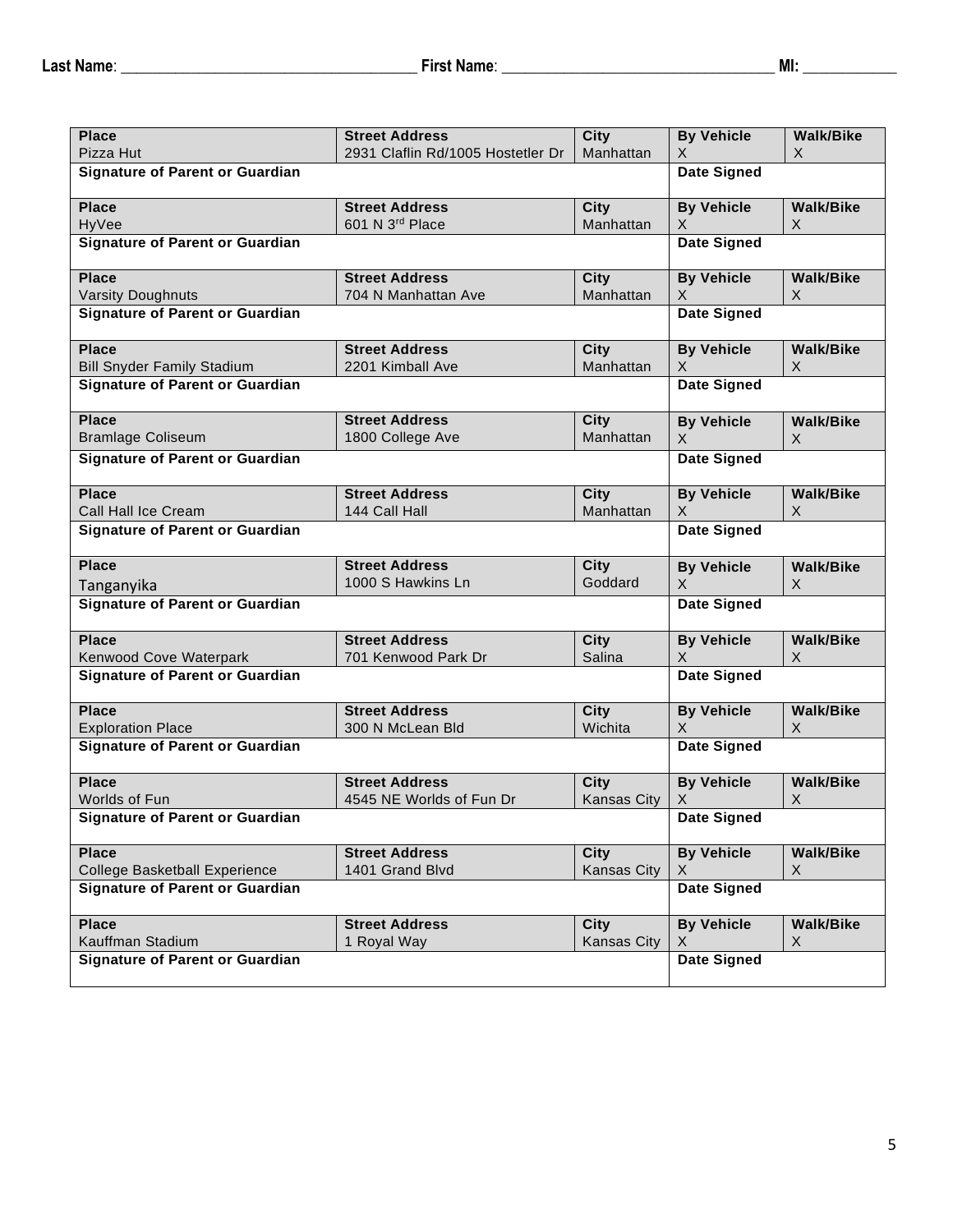| <b>Place</b>                                            | <b>Street Address</b>             | <b>City</b>        | <b>By Vehicle</b>       | <b>Walk/Bike</b> |
|---------------------------------------------------------|-----------------------------------|--------------------|-------------------------|------------------|
| Pizza Hut                                               | 2931 Claflin Rd/1005 Hostetler Dr | Manhattan          | X                       | X                |
| <b>Signature of Parent or Guardian</b>                  |                                   |                    | <b>Date Signed</b>      |                  |
| <b>Place</b>                                            | <b>Street Address</b>             | <b>City</b>        | <b>By Vehicle</b>       | <b>Walk/Bike</b> |
| HyVee                                                   | 601 N 3rd Place                   | Manhattan          | X.                      | $\chi$           |
| <b>Signature of Parent or Guardian</b>                  |                                   |                    | <b>Date Signed</b>      |                  |
| <b>Place</b>                                            | <b>Street Address</b>             | <b>City</b>        | <b>By Vehicle</b>       | <b>Walk/Bike</b> |
| <b>Varsity Doughnuts</b>                                | 704 N Manhattan Ave               | Manhattan          | X                       | X                |
| <b>Signature of Parent or Guardian</b>                  |                                   |                    | <b>Date Signed</b>      |                  |
| <b>Place</b>                                            | <b>Street Address</b>             | <b>City</b>        | <b>By Vehicle</b>       | <b>Walk/Bike</b> |
| <b>Bill Snyder Family Stadium</b>                       | 2201 Kimball Ave                  | Manhattan          | X                       | $\times$         |
| <b>Signature of Parent or Guardian</b>                  |                                   |                    | <b>Date Signed</b>      |                  |
| <b>Place</b>                                            | <b>Street Address</b>             | <b>City</b>        | <b>By Vehicle</b>       | <b>Walk/Bike</b> |
| <b>Bramlage Coliseum</b>                                | 1800 College Ave                  | Manhattan          | X                       | X                |
| <b>Signature of Parent or Guardian</b>                  |                                   |                    | <b>Date Signed</b>      |                  |
| <b>Place</b>                                            | <b>Street Address</b>             | <b>City</b>        | <b>By Vehicle</b>       | <b>Walk/Bike</b> |
| Call Hall Ice Cream                                     | 144 Call Hall                     | Manhattan          | X.                      | $\times$         |
| <b>Signature of Parent or Guardian</b>                  |                                   |                    | Date Signed             |                  |
| <b>Place</b>                                            | <b>Street Address</b>             | <b>City</b>        | <b>By Vehicle</b>       | <b>Walk/Bike</b> |
| Tanganyika                                              | 1000 S Hawkins Ln                 | Goddard            | X                       | X                |
| <b>Signature of Parent or Guardian</b>                  |                                   |                    | <b>Date Signed</b>      |                  |
| <b>Place</b>                                            | <b>Street Address</b>             | <b>City</b>        | <b>By Vehicle</b>       | <b>Walk/Bike</b> |
| Kenwood Cove Waterpark                                  | 701 Kenwood Park Dr               | Salina             | X                       | X                |
| <b>Signature of Parent or Guardian</b>                  |                                   |                    | <b>Date Signed</b>      |                  |
| <b>Place</b>                                            | <b>Street Address</b>             | City               | <b>By Vehicle</b>       | <b>Walk/Bike</b> |
| <b>Exploration Place</b>                                | 300 N McLean Bld                  | Wichita            | X                       | $\chi$           |
| <b>Signature of Parent or Guardian</b>                  |                                   |                    | <b>Date Signed</b>      |                  |
| <b>Place</b>                                            | <b>Street Address</b>             | <b>City</b>        | <b>By Vehicle</b>       | <b>Walk/Bike</b> |
| Worlds of Fun<br><b>Signature of Parent or Guardian</b> | 4545 NE Worlds of Fun Dr          | <b>Kansas City</b> | X<br><b>Date Signed</b> | X                |
|                                                         |                                   |                    |                         |                  |
| <b>Place</b>                                            | <b>Street Address</b>             | <b>City</b>        | <b>By Vehicle</b>       | <b>Walk/Bike</b> |
| College Basketball Experience                           | 1401 Grand Blvd                   | Kansas City        | X                       | X                |
| <b>Signature of Parent or Guardian</b>                  |                                   |                    | <b>Date Signed</b>      |                  |
| <b>Place</b>                                            | <b>Street Address</b>             | <b>City</b>        | <b>By Vehicle</b>       | <b>Walk/Bike</b> |
| Kauffman Stadium                                        | 1 Royal Way                       | <b>Kansas City</b> | X                       | X                |
| <b>Signature of Parent or Guardian</b>                  |                                   |                    | <b>Date Signed</b>      |                  |